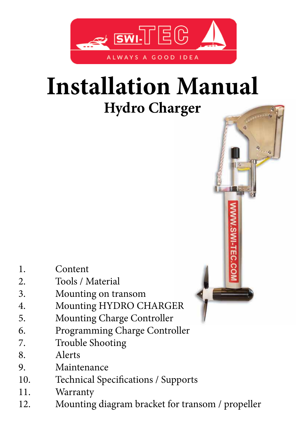

# **Installation Manual Hydro Charger**

- 1. Content
- 2. Tools / Material
- 3. Mounting on transom
- 4. Mounting HYDRO CHARGER
- 5. Mounting Charge Controller
- 6. Programming Charge Controller
- 7. Trouble Shooting
- 8. Alerts
- 9. Maintenance
- 10. Technical Specifications / Supports
- 11. Warranty
- 12. Mounting diagram bracket for transom / propeller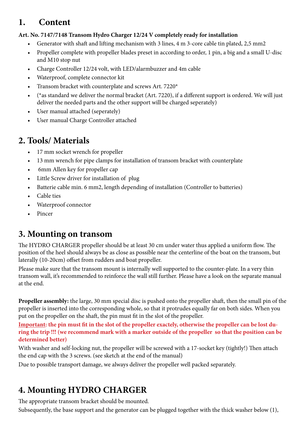# **1. Content**

#### **Art. No. 7147/7148 Transom Hydro Charger 12/24 V completely ready for installation**

- Generator with shaft and lifting mechanism with 3 lines, 4 m 3-core cable tin plated, 2,5 mm2
- Propeller complete with propeller blades preset in according to order, 1 pin, a big and a small U-disc and M10 stop nut
- Charge Controller 12/24 volt, with LED/alarmbuzzer and 4m cable
- Waterproof, complete connector kit
- Transom bracket with counterplate and screws Art. 7220\*
- (\*as standard we deliver the normal bracket (Art. 7220), if a different support is ordered. We will just deliver the needed parts and the other support will be charged seperately)
- User manual attached (seperately)
- User manual Charge Controller attached

# **2. Tools/ Materials**

- 17 mm socket wrench for propeller
- 13 mm wrench for pipe clamps for installation of transom bracket with counterplate
- 6mm Allen key for propeller cap
- Little Screw driver for installation of plug
- Batterie cable min. 6 mm2, length depending of installation (Controller to batteries)
- Cable ties
- Waterproof connector
- Pincer

# **3. Mounting on transom**

The HYDRO CHARGER propeller should be at least 30 cm under water thus applied a uniform flow. The position of the heel should always be as close as possible near the centerline of the boat on the transom, but laterally (10-20cm) offset from rudders and boat propeller.

Please make sure that the transom mount is internally well supported to the counter-plate. In a very thin transom wall, it's recommended to reinforce the wall still further. Please have a look on the separate manual at the end.

**Propeller assembly:** the large, 30 mm special disc is pushed onto the propeller shaft, then the small pin of the propeller is inserted into the corresponding whole, so that it protrudes equally far on both sides. When you put on the propeller on the shaft, the pin must fit in the slot of the propeller.

**Important: the pin must fit in the slot of the propeller exactely, otherwise the propeller can be lost during the trip !!! (we recommend mark with a marker outside of the propeller so that the position can be determined better)**

With washer and self-locking nut, the propeller will be screwed with a 17-socket key (tightly!) Then attach the end cap with the 3 screws. (see sketch at the end of the manual)

Due to possible transport damage, we always deliver the propeller well packed separately.

# **4. Mounting HYDRO CHARGER**

The appropriate transom bracket should be mounted.

Subsequently, the base support and the generator can be plugged together with the thick washer below (1),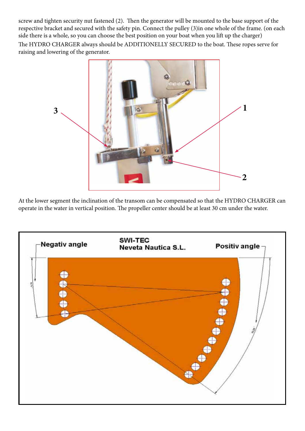screw and tighten security nut fastened (2). Then the generator will be mounted to the base support of the respective bracket and secured with the safety pin. Connect the pulley (3)in one whole of the frame. (on each side there is a whole, so you can choose the best position on your boat when you lift up the charger) The HYDRO CHARGER always should be ADDITIONELLY SECURED to the boat. These ropes serve for raising and lowering of the generator.



At the lower segment the inclination of the transom can be compensated so that the HYDRO CHARGER can operate in the water in vertical position. The propeller center should be at least 30 cm under the water.

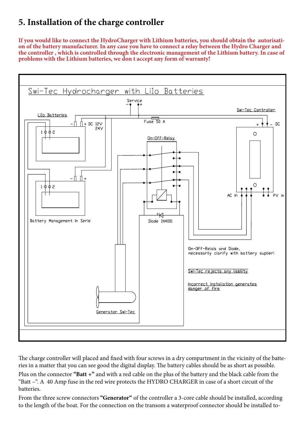# **5. Installation of the charge controller**

**If you would like to connect the HydroCharger with Lithium batteries, you should obtain the autorisati- on of the battery manufacturer. In any case you have to connect a relay between the Hydro Charger and the controller , which is controlled through the electronic management of the Lithium battery. In case of problems with the Lithium batteries, we don t accept any form of warranty!**



The charge controller will placed and fixed with four screws in a dry compartment in the vicinity of the batteries in a matter that you can see good the digital display. The battery cables should be as short as possible. Plus on the connector **"Batt +"** and with a red cable on the plus of the battery and the black cable from the "Batt –". A 40 Amp fuse in the red wire protects the HYDRO CHARGER in case of a short circuit of the batteries.

From the three screw connectors **"Generator"** of the controller a 3-core cable should be installed, according to the length of the boat. For the connection on the transom a waterproof connector should be installed to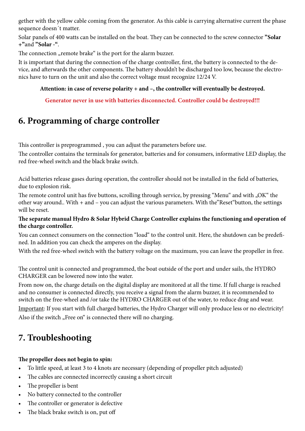gether with the yellow cable coming from the generator. As this cable is carrying alternative current the phase sequence doesn´t matter.

Solar panels of 400 watts can be installed on the boat. They can be connected to the screw connector **"Solar +"**and **"Solar -"**.

The connection "remote brake" is the port for the alarm buzzer.

It is important that during the connection of the charge controller, first, the battery is connected to the device, and afterwards the other components. The battery shouldn't be discharged too low, because the electronics have to turn on the unit and also the correct voltage must recognize 12/24 V.

#### **Attention: in case of reverse polarity + and –, the controller will eventually be destroyed.**

**Generator never in use with batteries disconnected. Controller could be destroyed!!!**

# **6. Programming of charge controller**

This controller is preprogrammed , you can adjust the parameters before use.

The controller contains the terminals for generator, batteries and for consumers, informative LED display, the red free-wheel switch and the black brake switch.

Acid batteries release gases during operation, the controller should not be installed in the field of batteries, due to explosion risk.

The remote control unit has five buttons, scrolling through service, by pressing "Menu" and with "OK" the other way around.. With + and – you can adjust the various parameters. With the"Reset"button, the settings will be reset.

#### **The separate manual Hydro & Solar Hybrid Charge Controller explains the functioning and operation of the charge controller.**

You can connect consumers on the connection "load" to the control unit. Here, the shutdown can be predefined. In addition you can check the amperes on the display.

With the red free-wheel switch with the battery voltage on the maximum, you can leave the propeller in free.

The control unit is connected and programmed, the boat outside of the port and under sails, the HYDRO CHARGER can be lowered now into the water.

From now on, the charge details on the digital display are monitored at all the time. If full charge is reached and no consumer is connected directly, you receive a signal from the alarm buzzer, it is recommended to switch on the free-wheel and /or take the HYDRO CHARGER out of the water, to reduce drag and wear. Important: If you start with full charged batteries, the Hydro Charger will only produce less or no electricity! Also if the switch "Free on" is connected there will no charging.

# **7. Troubleshooting**

#### **The propeller does not begin to spin:**

- To little speed, at least 3 to 4 knots are necessary (depending of propeller pitch adjusted)
- The cables are connected incorrectly causing a short circuit
- The propeller is bent
- No battery connected to the controller
- The controller or generator is defective
- The black brake switch is on, put off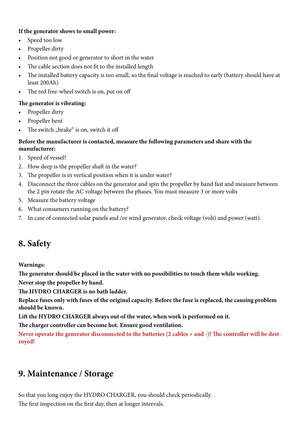#### **If the generator shows to small power:**

- Speed too low
- Propeller dirty
- Position not good or generator to short in the water
- The cable section does not fit to the installed length
- The installed battery capacity is too small, so the final voltage is reached to early (battery should have at least 200Ah)
- The red free-wheel switch is on, put on off

#### **The generator is vibrating:**

- Propeller dirty
- Propeller bent
- The switch "brake" is on, switch it off

#### **Before the manufacturer is contacted, measure the following parameters and share with the manufacturer:**

- 1. Speed of vessel?
- 2. How deep is the propeller shaft in the water?
- 3. The propeller is in vertical position when it is under water?
- 4. Disconnect the three cables on the generator and spin the propeller by hand fast and measure between the 2 pin rotate the AC voltage between the phases. You must measure 3 or more volts
- 5. Measure the battery voltage
- 6. What consumers running on the battery?
- 7. In case of connected solar panels and /or wind generator, check voltage (volt) and power (watt).

# **8. Safety**

**Warnings:**

**The generator should be placed in the water with no possibilities to touch them while working.**

**Never stop the propeller by hand.**

**The HYDRO CHARGER is no bath ladder.**

**Replace fuses only with fuses of the original capacity. Before the fuse is replaced, the causing problem should be known.**

**Lift the HYDRO CHARGER always out of the water, when work is performed on it.**

**The charger controller can become hot. Ensure good ventilation.**

**Never operate the generator disconnected to the batteries (2 cables + and -)! The controller will be destroyed!**

# **9. Maintenance / Storage**

So that you long enjoy the HYDRO CHARGER, you should check periodically. The first inspection on the first day, then at longer intervals.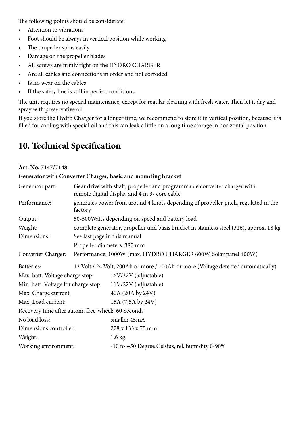The following points should be considerate:

- Attention to vibrations
- Foot should be always in vertical position while working
- The propeller spins easily
- Damage on the propeller blades
- All screws are firmly tight on the HYDRO CHARGER
- Are all cables and connections in order and not corroded
- Is no wear on the cables
- If the safety line is still in perfect conditions

The unit requires no special maintenance, except for regular cleaning with fresh water. Then let it dry and spray with preservative oil.

If you store the Hydro Charger for a longer time, we recommend to store it in vertical position, because it is filled for cooling with special oil and this can leak a little on a long time storage in horizontal position.

# **10. Technical Specification**

#### **Art. No. 7147/7148**

#### **Generator with Converter Charger, basic and mounting bracket**

| Generator part:                                   | Gear drive with shaft, propeller and programmable converter charger with<br>remote digital display and 4 m 3- core cable |                                                                                   |
|---------------------------------------------------|--------------------------------------------------------------------------------------------------------------------------|-----------------------------------------------------------------------------------|
| Performance:                                      | generates power from around 4 knots depending of propeller pitch, regulated in the<br>factory                            |                                                                                   |
| Output:                                           | 50-500 Watts depending on speed and battery load                                                                         |                                                                                   |
| Weight:                                           | complete generator, propeller und basis bracket in stainless steel (316), approx. 18 kg                                  |                                                                                   |
| Dimensions:                                       | See last page in this manual                                                                                             |                                                                                   |
|                                                   | Propeller diameters: 380 mm                                                                                              |                                                                                   |
| Converter Charger:                                |                                                                                                                          | Performance: 1000W (max. HYDRO CHARGER 600W, Solar panel 400W)                    |
| Batteries:                                        |                                                                                                                          | 12 Volt / 24 Volt, 200Ah or more / 100Ah or more (Voltage detected automatically) |
| Max. batt. Voltage charge stop:                   |                                                                                                                          | 16V/32V (adjustable)                                                              |
| Min. batt. Voltage for charge stop:               |                                                                                                                          | $11V/22V$ (adjustable)                                                            |
| Max. Charge current:                              |                                                                                                                          | 40A (20A by 24V)                                                                  |
| Max. Load current:                                |                                                                                                                          | 15A (7,5A by 24V)                                                                 |
| Recovery time after autom. free-wheel: 60 Seconds |                                                                                                                          |                                                                                   |
| No load loss:                                     |                                                                                                                          | smaller 45mA                                                                      |
| Dimensions controller:                            |                                                                                                                          | 278 x 133 x 75 mm                                                                 |
| Weight:                                           |                                                                                                                          | $1,6$ kg                                                                          |
| Working environment:                              |                                                                                                                          | -10 to +50 Degree Celsius, rel. humidity 0-90%                                    |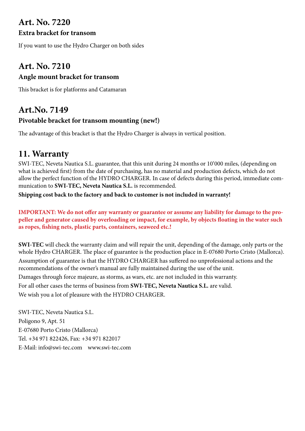# **Art. No. 7220**

#### **Extra bracket for transom**

If you want to use the Hydro Charger on both sides

### **Art. No. 7210 Angle mount bracket for transom**

This bracket is for platforms and Catamaran

# **Art.No. 7149**

#### **Pivotable bracket for transom mounting (new!)**

The advantage of this bracket is that the Hydro Charger is always in vertical position.

# **11. Warranty**

SWI-TEC, Neveta Nautica S.L. guarantee, that this unit during 24 months or 10'000 miles, (depending on what is achieved first) from the date of purchasing, has no material and production defects, which do not allow the perfect function of the HYDRO CHARGER. In case of defects during this period, immediate communication to **SWI-TEC, Neveta Nautica S.L.** is recommended.

**Shipping cost back to the factory and back to customer is not included in warranty!**

**IMPORTANT: We do not offer any warranty or guarantee or assume any liability for damage to the propeller and generator caused by overloading or impact, for example, by objects floating in the water such as ropes, fishing nets, plastic parts, containers, seaweed etc.!**

**SWI-TEC** will check the warranty claim and will repair the unit, depending of the damage, only parts or the whole Hydro CHARGER. The place of guarantee is the production place in E-07680 Porto Cristo (Mallorca). Assumption of guarantee is that the HYDRO CHARGER has suffered no unprofessional actions and the recommendations of the owner's manual are fully maintained during the use of the unit. Damages through force majeure, as storms, as wars, etc. are not included in this warranty. For all other cases the terms of business from **SWI-TEC, Neveta Nautica S.L.** are valid. We wish you a lot of pleasure with the HYDRO CHARGER.

SWI-TEC, Neveta Nautica S.L. Poligono 9, Apt. 51 E-07680 Porto Cristo (Mallorca) Tel. +34 971 822426, Fax: +34 971 822017 E-Mail: info@swi-tec.com www.swi-tec.com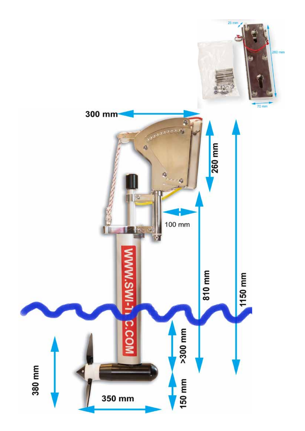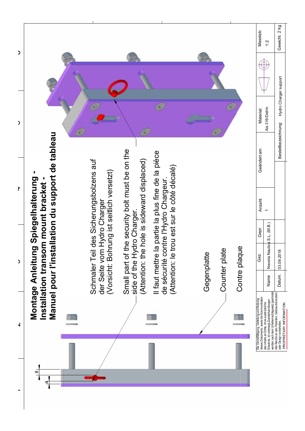